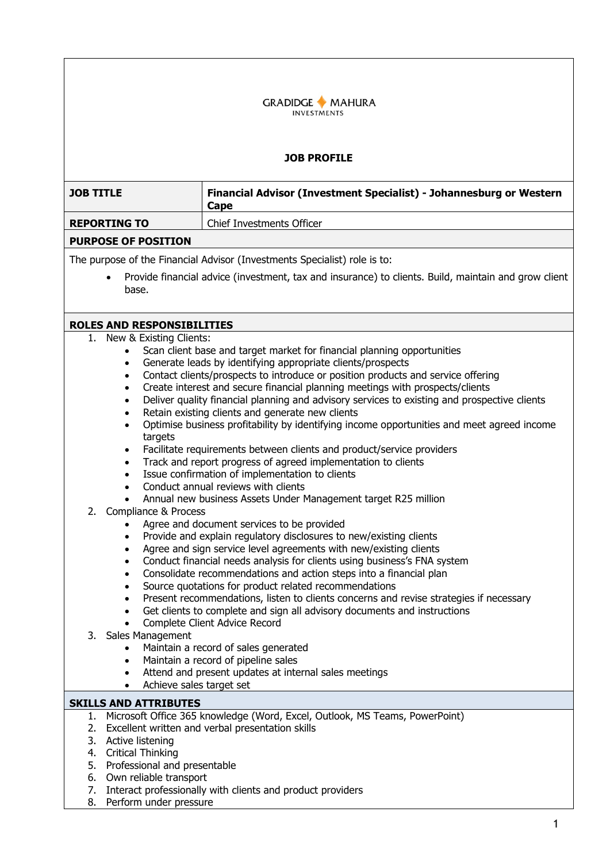

## **JOB PROFILE**

| <b>JOB TITLE</b>                                                                                                                                                                                                                                                                                      | Financial Advisor (Investment Specialist) - Johannesburg or Western<br>Cape                                                                                                                                                                                                                                                                                                                                                                                                                                                                                                                                                                                                                                                                                                                                                                                                                                                                                                                                                                                                                                                                                                                                                                                                                                                                                                                                                                                                    |  |
|-------------------------------------------------------------------------------------------------------------------------------------------------------------------------------------------------------------------------------------------------------------------------------------------------------|--------------------------------------------------------------------------------------------------------------------------------------------------------------------------------------------------------------------------------------------------------------------------------------------------------------------------------------------------------------------------------------------------------------------------------------------------------------------------------------------------------------------------------------------------------------------------------------------------------------------------------------------------------------------------------------------------------------------------------------------------------------------------------------------------------------------------------------------------------------------------------------------------------------------------------------------------------------------------------------------------------------------------------------------------------------------------------------------------------------------------------------------------------------------------------------------------------------------------------------------------------------------------------------------------------------------------------------------------------------------------------------------------------------------------------------------------------------------------------|--|
| <b>REPORTING TO</b>                                                                                                                                                                                                                                                                                   | <b>Chief Investments Officer</b>                                                                                                                                                                                                                                                                                                                                                                                                                                                                                                                                                                                                                                                                                                                                                                                                                                                                                                                                                                                                                                                                                                                                                                                                                                                                                                                                                                                                                                               |  |
| <b>PURPOSE OF POSITION</b>                                                                                                                                                                                                                                                                            |                                                                                                                                                                                                                                                                                                                                                                                                                                                                                                                                                                                                                                                                                                                                                                                                                                                                                                                                                                                                                                                                                                                                                                                                                                                                                                                                                                                                                                                                                |  |
| The purpose of the Financial Advisor (Investments Specialist) role is to:                                                                                                                                                                                                                             |                                                                                                                                                                                                                                                                                                                                                                                                                                                                                                                                                                                                                                                                                                                                                                                                                                                                                                                                                                                                                                                                                                                                                                                                                                                                                                                                                                                                                                                                                |  |
| base.                                                                                                                                                                                                                                                                                                 | Provide financial advice (investment, tax and insurance) to clients. Build, maintain and grow client                                                                                                                                                                                                                                                                                                                                                                                                                                                                                                                                                                                                                                                                                                                                                                                                                                                                                                                                                                                                                                                                                                                                                                                                                                                                                                                                                                           |  |
| <b>ROLES AND RESPONSIBILITIES</b>                                                                                                                                                                                                                                                                     |                                                                                                                                                                                                                                                                                                                                                                                                                                                                                                                                                                                                                                                                                                                                                                                                                                                                                                                                                                                                                                                                                                                                                                                                                                                                                                                                                                                                                                                                                |  |
| 1. New & Existing Clients:<br>$\bullet$<br>$\bullet$<br>$\bullet$<br>$\bullet$<br>$\bullet$<br>$\bullet$<br>$\bullet$<br>targets<br>$\bullet$<br>$\bullet$<br>$\bullet$<br>$\bullet$<br>2.<br>Compliance & Process<br>$\bullet$<br>$\bullet$<br>$\bullet$<br>$\bullet$<br>$\bullet$<br>$\bullet$<br>٠ | Scan client base and target market for financial planning opportunities<br>Generate leads by identifying appropriate clients/prospects<br>Contact clients/prospects to introduce or position products and service offering<br>Create interest and secure financial planning meetings with prospects/clients<br>Deliver quality financial planning and advisory services to existing and prospective clients<br>Retain existing clients and generate new clients<br>Optimise business profitability by identifying income opportunities and meet agreed income<br>Facilitate requirements between clients and product/service providers<br>Track and report progress of agreed implementation to clients<br>Issue confirmation of implementation to clients<br>Conduct annual reviews with clients<br>Annual new business Assets Under Management target R25 million<br>Agree and document services to be provided<br>Provide and explain regulatory disclosures to new/existing clients<br>Agree and sign service level agreements with new/existing clients<br>Conduct financial needs analysis for clients using business's FNA system<br>Consolidate recommendations and action steps into a financial plan<br>Source quotations for product related recommendations<br>Present recommendations, listen to clients concerns and revise strategies if necessary<br>Get clients to complete and sign all advisory documents and instructions<br>Complete Client Advice Record |  |
| 3. Sales Management                                                                                                                                                                                                                                                                                   | Maintain a record of sales generated<br>Maintain a record of pipeline sales<br>Attend and present updates at internal sales meetings<br>Achieve sales target set                                                                                                                                                                                                                                                                                                                                                                                                                                                                                                                                                                                                                                                                                                                                                                                                                                                                                                                                                                                                                                                                                                                                                                                                                                                                                                               |  |
| <b>SKILLS AND ATTRIBUTES</b>                                                                                                                                                                                                                                                                          |                                                                                                                                                                                                                                                                                                                                                                                                                                                                                                                                                                                                                                                                                                                                                                                                                                                                                                                                                                                                                                                                                                                                                                                                                                                                                                                                                                                                                                                                                |  |
| 3. Active listening<br>4. Critical Thinking<br>5. Professional and presentable<br>6. Own reliable transport                                                                                                                                                                                           | 1. Microsoft Office 365 knowledge (Word, Excel, Outlook, MS Teams, PowerPoint)<br>2. Excellent written and verbal presentation skills<br>7. Interact professionally with clients and product providers                                                                                                                                                                                                                                                                                                                                                                                                                                                                                                                                                                                                                                                                                                                                                                                                                                                                                                                                                                                                                                                                                                                                                                                                                                                                         |  |

8. Perform under pressure